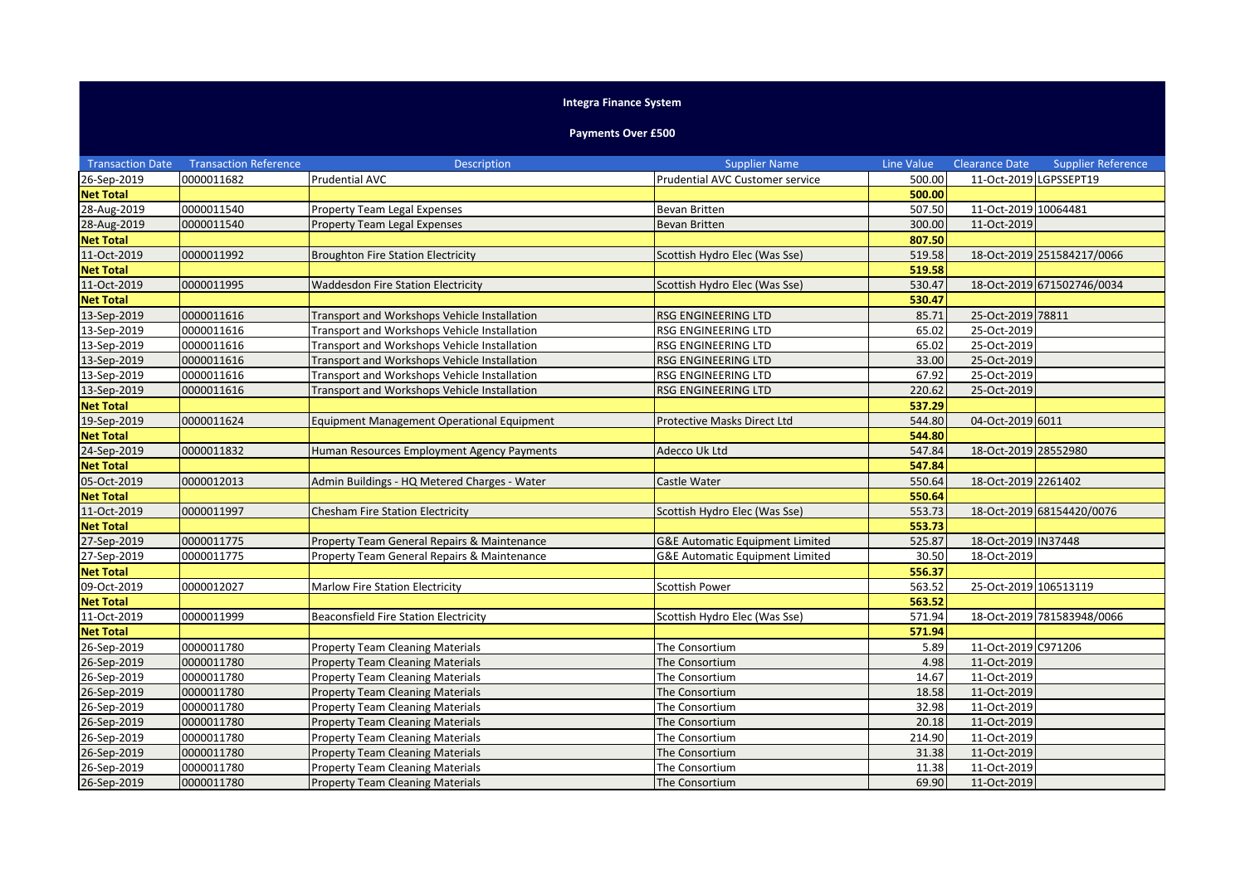## **Integra Finance System**

## **Payments Over £500**

| <b>Transaction Date</b> | <b>Transaction Reference</b> | <b>Description</b>                                | <b>Supplier Name</b>                       | Line Value | <b>Clearance Date</b>  | <b>Supplier Reference</b>  |
|-------------------------|------------------------------|---------------------------------------------------|--------------------------------------------|------------|------------------------|----------------------------|
| 26-Sep-2019             | 0000011682                   | <b>Prudential AVC</b>                             | Prudential AVC Customer service            | 500.00     | 11-Oct-2019 LGPSSEPT19 |                            |
| <b>Net Total</b>        |                              |                                                   |                                            | 500.00     |                        |                            |
| 28-Aug-2019             | 0000011540                   | <b>Property Team Legal Expenses</b>               | Bevan Britten                              | 507.50     | 11-Oct-2019 10064481   |                            |
| 28-Aug-2019             | 0000011540                   | Property Team Legal Expenses                      | <b>Bevan Britten</b>                       | 300.00     | 11-Oct-2019            |                            |
| <b>Net Total</b>        |                              |                                                   |                                            | 807.50     |                        |                            |
| 11-Oct-2019             | 0000011992                   | <b>Broughton Fire Station Electricity</b>         | Scottish Hydro Elec (Was Sse)              | 519.58     |                        | 18-Oct-2019 251584217/0066 |
| <b>Net Total</b>        |                              |                                                   |                                            | 519.58     |                        |                            |
| 11-Oct-2019             | 0000011995                   | <b>Waddesdon Fire Station Electricity</b>         | Scottish Hydro Elec (Was Sse)              | 530.47     |                        | 18-Oct-2019 671502746/0034 |
| <b>Net Total</b>        |                              |                                                   |                                            | 530.47     |                        |                            |
| 13-Sep-2019             | 0000011616                   | Transport and Workshops Vehicle Installation      | RSG ENGINEERING LTD                        | 85.71      | 25-Oct-2019 78811      |                            |
| 13-Sep-2019             | 0000011616                   | Transport and Workshops Vehicle Installation      | RSG ENGINEERING LTD                        | 65.02      | 25-Oct-2019            |                            |
| 13-Sep-2019             | 0000011616                   | Transport and Workshops Vehicle Installation      | RSG ENGINEERING LTD                        | 65.02      | 25-Oct-2019            |                            |
| 13-Sep-2019             | 0000011616                   | Transport and Workshops Vehicle Installation      | RSG ENGINEERING LTD                        | 33.00      | 25-Oct-2019            |                            |
| 13-Sep-2019             | 0000011616                   | Transport and Workshops Vehicle Installation      | RSG ENGINEERING LTD                        | 67.92      | 25-Oct-2019            |                            |
| 13-Sep-2019             | 0000011616                   | Transport and Workshops Vehicle Installation      | RSG ENGINEERING LTD                        | 220.62     | 25-Oct-2019            |                            |
| <b>Net Total</b>        |                              |                                                   |                                            | 537.29     |                        |                            |
| 19-Sep-2019             | 0000011624                   | <b>Equipment Management Operational Equipment</b> | Protective Masks Direct Ltd                | 544.80     | 04-Oct-2019 6011       |                            |
| <b>Net Total</b>        |                              |                                                   |                                            | 544.80     |                        |                            |
| 24-Sep-2019             | 0000011832                   | Human Resources Employment Agency Payments        | Adecco Uk Ltd                              | 547.84     | 18-Oct-2019 28552980   |                            |
| <b>Net Total</b>        |                              |                                                   |                                            | 547.84     |                        |                            |
| 05-Oct-2019             | 0000012013                   | Admin Buildings - HQ Metered Charges - Water      | Castle Water                               | 550.64     | 18-Oct-2019 2261402    |                            |
| <b>Net Total</b>        |                              |                                                   |                                            | 550.64     |                        |                            |
| 11-Oct-2019             | 0000011997                   | Chesham Fire Station Electricity                  | Scottish Hydro Elec (Was Sse)              | 553.73     |                        | 18-Oct-2019 68154420/0076  |
| <b>Net Total</b>        |                              |                                                   |                                            | 553.73     |                        |                            |
| 27-Sep-2019             | 0000011775                   | Property Team General Repairs & Maintenance       | <b>G&amp;E Automatic Equipment Limited</b> | 525.87     | 18-Oct-2019 IN37448    |                            |
| 27-Sep-2019             | 0000011775                   | Property Team General Repairs & Maintenance       | <b>G&amp;E Automatic Equipment Limited</b> | 30.50      | 18-Oct-2019            |                            |
| <b>Net Total</b>        |                              |                                                   |                                            | 556.37     |                        |                            |
| 09-Oct-2019             | 0000012027                   | <b>Marlow Fire Station Electricity</b>            | Scottish Power                             | 563.52     | 25-Oct-2019 106513119  |                            |
| <b>Net Total</b>        |                              |                                                   |                                            | 563.52     |                        |                            |
| 11-Oct-2019             | 0000011999                   | <b>Beaconsfield Fire Station Electricity</b>      | Scottish Hydro Elec (Was Sse)              | 571.94     |                        | 18-Oct-2019 781583948/0066 |
| <b>Net Total</b>        |                              |                                                   |                                            | 571.94     |                        |                            |
| 26-Sep-2019             | 0000011780                   | <b>Property Team Cleaning Materials</b>           | The Consortium                             | 5.89       | 11-Oct-2019 C971206    |                            |
| 26-Sep-2019             | 0000011780                   | <b>Property Team Cleaning Materials</b>           | The Consortium                             | 4.98       | 11-Oct-2019            |                            |
| 26-Sep-2019             | 0000011780                   | <b>Property Team Cleaning Materials</b>           | The Consortium                             | 14.67      | 11-Oct-2019            |                            |
| 26-Sep-2019             | 0000011780                   | <b>Property Team Cleaning Materials</b>           | The Consortium                             | 18.58      | 11-Oct-2019            |                            |
| 26-Sep-2019             | 0000011780                   | <b>Property Team Cleaning Materials</b>           | The Consortium                             | 32.98      | 11-Oct-2019            |                            |
| 26-Sep-2019             | 0000011780                   | <b>Property Team Cleaning Materials</b>           | The Consortium                             | 20.18      | 11-Oct-2019            |                            |
| 26-Sep-2019             | 0000011780                   | <b>Property Team Cleaning Materials</b>           | The Consortium                             | 214.90     | 11-Oct-2019            |                            |
| 26-Sep-2019             | 0000011780                   | <b>Property Team Cleaning Materials</b>           | The Consortium                             | 31.38      | 11-Oct-2019            |                            |
| 26-Sep-2019             | 0000011780                   | <b>Property Team Cleaning Materials</b>           | The Consortium                             | 11.38      | 11-Oct-2019            |                            |
| 26-Sep-2019             | 0000011780                   | <b>Property Team Cleaning Materials</b>           | The Consortium                             | 69.90      | 11-Oct-2019            |                            |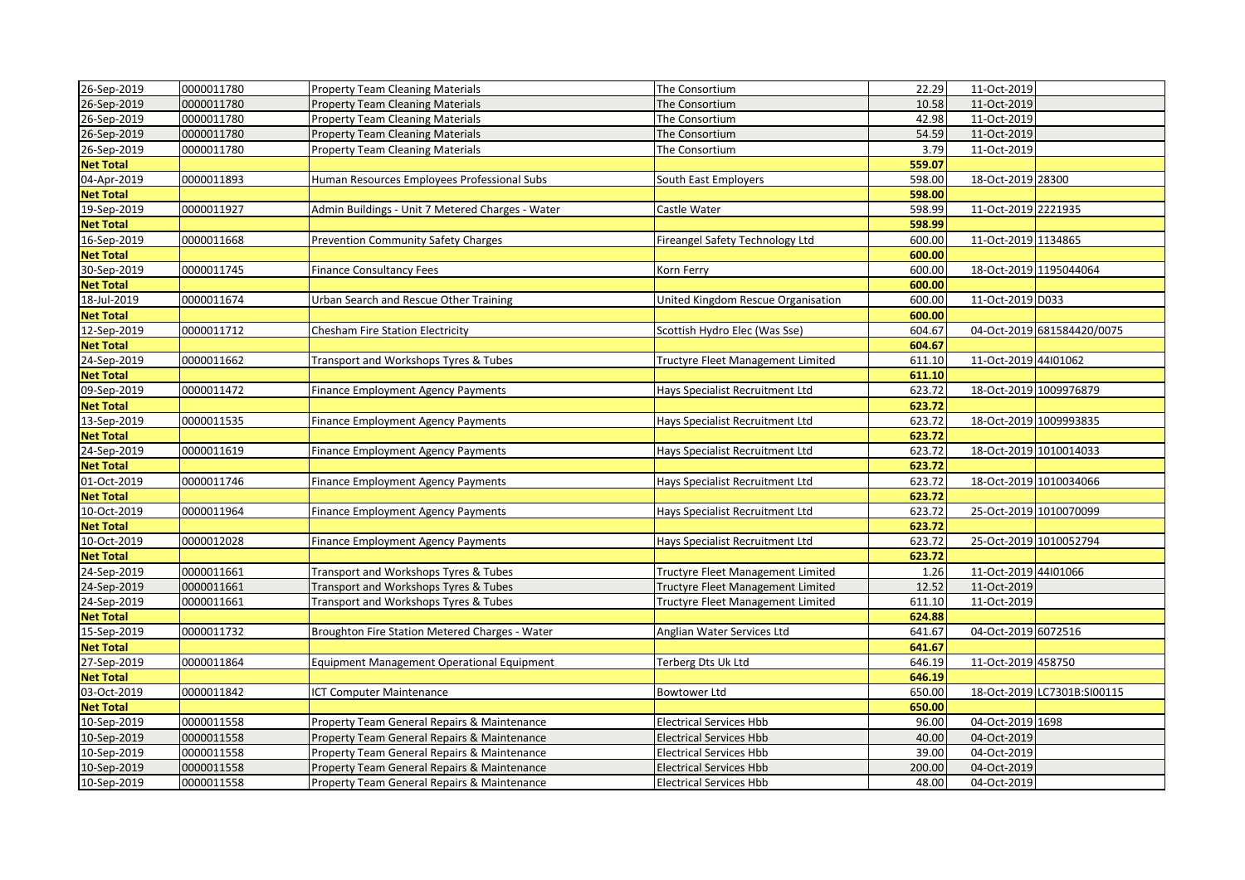| 26-Sep-2019      | 0000011780 | <b>Property Team Cleaning Materials</b>          | The Consortium                           | 22.29  | 11-Oct-2019            |                             |
|------------------|------------|--------------------------------------------------|------------------------------------------|--------|------------------------|-----------------------------|
| 26-Sep-2019      | 0000011780 | Property Team Cleaning Materials                 | The Consortium                           | 10.58  | 11-Oct-2019            |                             |
| 26-Sep-2019      | 0000011780 | <b>Property Team Cleaning Materials</b>          | The Consortium                           | 42.98  | 11-Oct-2019            |                             |
| 26-Sep-2019      | 0000011780 | <b>Property Team Cleaning Materials</b>          | The Consortium                           | 54.59  | 11-Oct-2019            |                             |
| 26-Sep-2019      | 0000011780 | <b>Property Team Cleaning Materials</b>          | The Consortium                           | 3.79   | 11-Oct-2019            |                             |
| <b>Net Total</b> |            |                                                  |                                          | 559.07 |                        |                             |
| 04-Apr-2019      | 0000011893 | Human Resources Employees Professional Subs      | South East Employers                     | 598.00 | 18-Oct-2019 28300      |                             |
| <b>Net Total</b> |            |                                                  |                                          | 598.00 |                        |                             |
| 19-Sep-2019      | 0000011927 | Admin Buildings - Unit 7 Metered Charges - Water | Castle Water                             | 598.99 | 11-Oct-2019 2221935    |                             |
| <b>Net Total</b> |            |                                                  |                                          | 598.99 |                        |                             |
| 16-Sep-2019      | 0000011668 | Prevention Community Safety Charges              | Fireangel Safety Technology Ltd          | 600.00 | 11-Oct-2019 1134865    |                             |
| <b>Net Total</b> |            |                                                  |                                          | 600.00 |                        |                             |
| 30-Sep-2019      | 0000011745 | <b>Finance Consultancy Fees</b>                  | Korn Ferry                               | 600.00 | 18-Oct-2019 1195044064 |                             |
| <b>Net Total</b> |            |                                                  |                                          | 600.00 |                        |                             |
| 18-Jul-2019      | 0000011674 | Urban Search and Rescue Other Training           | United Kingdom Rescue Organisation       | 600.00 | 11-Oct-2019 D033       |                             |
| <b>Net Total</b> |            |                                                  |                                          | 600.00 |                        |                             |
| 12-Sep-2019      | 0000011712 | <b>Chesham Fire Station Electricity</b>          | Scottish Hydro Elec (Was Sse)            | 604.67 |                        | 04-Oct-2019 681584420/0075  |
| <b>Net Total</b> |            |                                                  |                                          | 604.67 |                        |                             |
| 24-Sep-2019      | 0000011662 | Transport and Workshops Tyres & Tubes            | <b>Tructyre Fleet Management Limited</b> | 611.10 | 11-Oct-2019 44I01062   |                             |
| <b>Net Total</b> |            |                                                  |                                          | 611.10 |                        |                             |
| 09-Sep-2019      | 0000011472 | <b>Finance Employment Agency Payments</b>        | Hays Specialist Recruitment Ltd          | 623.72 |                        | 18-Oct-2019 1009976879      |
| <b>Net Total</b> |            |                                                  |                                          | 623.72 |                        |                             |
| 13-Sep-2019      | 0000011535 | Finance Employment Agency Payments               | Hays Specialist Recruitment Ltd          | 623.72 | 18-Oct-2019 1009993835 |                             |
| <b>Net Total</b> |            |                                                  |                                          | 623.72 |                        |                             |
| 24-Sep-2019      | 0000011619 | Finance Employment Agency Payments               | Hays Specialist Recruitment Ltd          | 623.72 | 18-Oct-2019 1010014033 |                             |
| <b>Net Total</b> |            |                                                  |                                          | 623.72 |                        |                             |
| 01-Oct-2019      | 0000011746 | <b>Finance Employment Agency Payments</b>        | Hays Specialist Recruitment Ltd          | 623.72 |                        | 18-Oct-2019 1010034066      |
| <b>Net Total</b> |            |                                                  |                                          | 623.72 |                        |                             |
| 10-Oct-2019      | 0000011964 | <b>Finance Employment Agency Payments</b>        | Hays Specialist Recruitment Ltd          | 623.72 | 25-Oct-2019 1010070099 |                             |
| <b>Net Total</b> |            |                                                  |                                          | 623.72 |                        |                             |
| 10-Oct-2019      | 0000012028 | <b>Finance Employment Agency Payments</b>        | Hays Specialist Recruitment Ltd          | 623.72 |                        | 25-Oct-2019 1010052794      |
| <b>Net Total</b> |            |                                                  |                                          | 623.72 |                        |                             |
| 24-Sep-2019      | 0000011661 | Transport and Workshops Tyres & Tubes            | Tructyre Fleet Management Limited        | 1.26   | 11-Oct-2019 44l01066   |                             |
| 24-Sep-2019      | 0000011661 | Transport and Workshops Tyres & Tubes            | Tructyre Fleet Management Limited        | 12.52  | 11-Oct-2019            |                             |
| 24-Sep-2019      | 0000011661 | Transport and Workshops Tyres & Tubes            | Tructyre Fleet Management Limited        | 611.10 | 11-Oct-2019            |                             |
| <b>Net Total</b> |            |                                                  |                                          | 624.88 |                        |                             |
| 15-Sep-2019      | 0000011732 | Broughton Fire Station Metered Charges - Water   | Anglian Water Services Ltd               | 641.67 | 04-Oct-2019 6072516    |                             |
| <b>Net Total</b> |            |                                                  |                                          | 641.67 |                        |                             |
| 27-Sep-2019      | 0000011864 | Equipment Management Operational Equipment       | Terberg Dts Uk Ltd                       | 646.19 | 11-Oct-2019 458750     |                             |
| <b>Net Total</b> |            |                                                  |                                          | 646.19 |                        |                             |
| 03-Oct-2019      | 0000011842 | <b>ICT Computer Maintenance</b>                  | Bowtower Ltd                             | 650.00 |                        | 18-Oct-2019 LC7301B:SI00115 |
| <b>Net Total</b> |            |                                                  |                                          | 650.00 |                        |                             |
| 10-Sep-2019      | 0000011558 | Property Team General Repairs & Maintenance      | <b>Electrical Services Hbb</b>           | 96.00  | 04-Oct-2019 1698       |                             |
| 10-Sep-2019      | 0000011558 | Property Team General Repairs & Maintenance      | <b>Electrical Services Hbb</b>           | 40.00  | 04-Oct-2019            |                             |
| 10-Sep-2019      | 0000011558 | Property Team General Repairs & Maintenance      | <b>Electrical Services Hbb</b>           | 39.00  | 04-Oct-2019            |                             |
| 10-Sep-2019      | 0000011558 | Property Team General Repairs & Maintenance      | <b>Electrical Services Hbb</b>           | 200.00 | 04-Oct-2019            |                             |
| 10-Sep-2019      | 0000011558 | Property Team General Repairs & Maintenance      | <b>Electrical Services Hbb</b>           | 48.00  | 04-Oct-2019            |                             |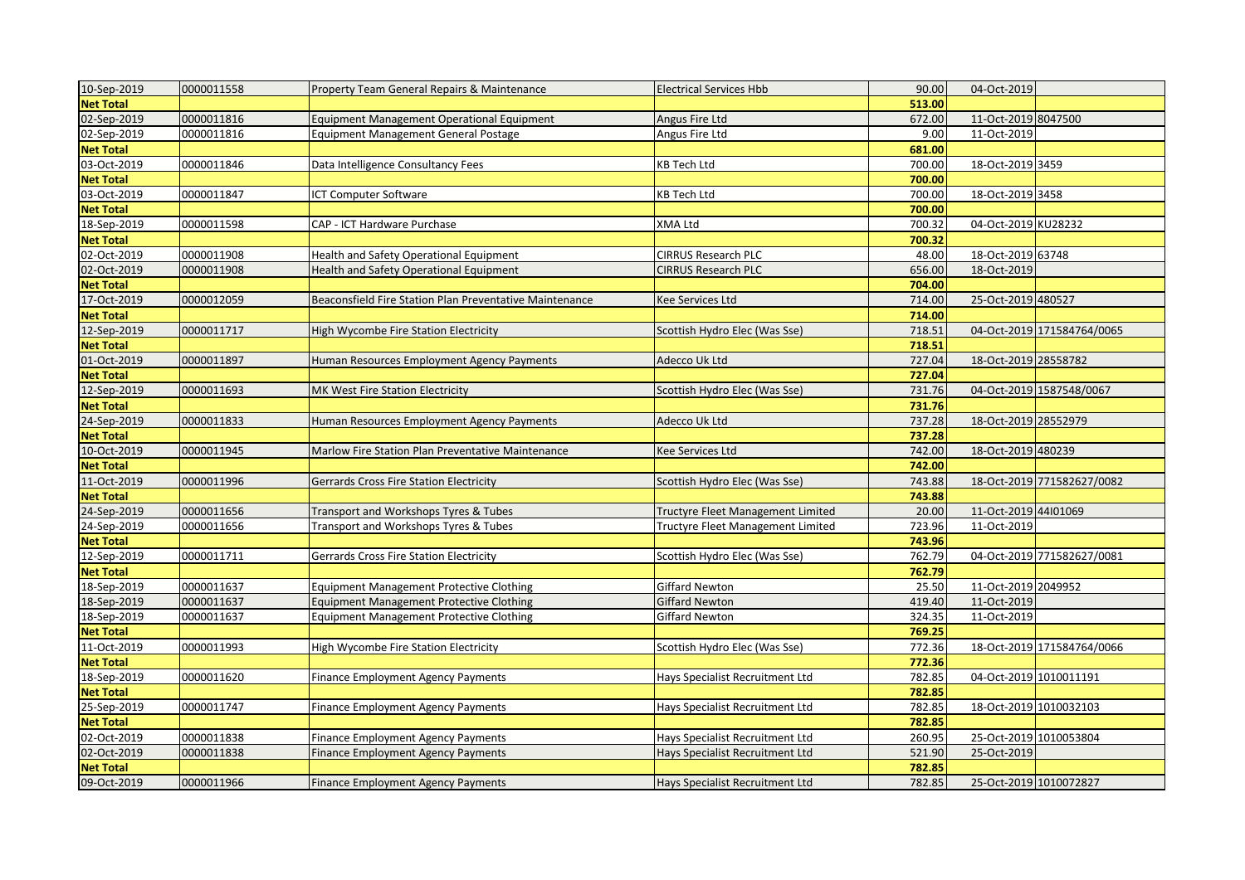| 10-Sep-2019      | 0000011558 | Property Team General Repairs & Maintenance             | <b>Electrical Services Hbb</b>           | 90.00  | 04-Oct-2019          |                            |
|------------------|------------|---------------------------------------------------------|------------------------------------------|--------|----------------------|----------------------------|
| <b>Net Total</b> |            |                                                         |                                          | 513.00 |                      |                            |
| 02-Sep-2019      | 0000011816 | <b>Equipment Management Operational Equipment</b>       | Angus Fire Ltd                           | 672.00 | 11-Oct-2019 8047500  |                            |
| 02-Sep-2019      | 0000011816 | <b>Equipment Management General Postage</b>             | Angus Fire Ltd                           | 9.00   | 11-Oct-2019          |                            |
| <b>Net Total</b> |            |                                                         |                                          | 681.00 |                      |                            |
| 03-Oct-2019      | 0000011846 | Data Intelligence Consultancy Fees                      | <b>KB Tech Ltd</b>                       | 700.00 | 18-Oct-2019 3459     |                            |
| <b>Net Total</b> |            |                                                         |                                          | 700.00 |                      |                            |
| 03-Oct-2019      | 0000011847 | <b>ICT Computer Software</b>                            | KB Tech Ltd                              | 700.00 | 18-Oct-2019 3458     |                            |
| <b>Net Total</b> |            |                                                         |                                          | 700.00 |                      |                            |
| 18-Sep-2019      | 0000011598 | CAP - ICT Hardware Purchase                             | XMA Ltd                                  | 700.32 | 04-Oct-2019 KU28232  |                            |
| <b>Net Total</b> |            |                                                         |                                          | 700.32 |                      |                            |
| 02-Oct-2019      | 0000011908 | Health and Safety Operational Equipment                 | CIRRUS Research PLC                      | 48.00  | 18-Oct-2019 63748    |                            |
| 02-Oct-2019      | 0000011908 | <b>Health and Safety Operational Equipment</b>          | CIRRUS Research PLC                      | 656.00 | 18-Oct-2019          |                            |
| <b>Net Total</b> |            |                                                         |                                          | 704.00 |                      |                            |
| 17-Oct-2019      | 0000012059 | Beaconsfield Fire Station Plan Preventative Maintenance | Kee Services Ltd                         | 714.00 | 25-Oct-2019 480527   |                            |
| <b>Net Total</b> |            |                                                         |                                          | 714.00 |                      |                            |
| 12-Sep-2019      | 0000011717 | High Wycombe Fire Station Electricity                   | Scottish Hydro Elec (Was Sse)            | 718.51 |                      | 04-Oct-2019 171584764/0065 |
| <b>Net Total</b> |            |                                                         |                                          | 718.51 |                      |                            |
| 01-Oct-2019      | 0000011897 | Human Resources Employment Agency Payments              | Adecco Uk Ltd                            | 727.04 | 18-Oct-2019 28558782 |                            |
| <b>Net Total</b> |            |                                                         |                                          | 727.04 |                      |                            |
| 12-Sep-2019      | 0000011693 | MK West Fire Station Electricity                        | Scottish Hydro Elec (Was Sse)            | 731.76 |                      | 04-Oct-2019 1587548/0067   |
| <b>Net Total</b> |            |                                                         |                                          | 731.76 |                      |                            |
| 24-Sep-2019      | 0000011833 | Human Resources Employment Agency Payments              | Adecco Uk Ltd                            | 737.28 | 18-Oct-2019 28552979 |                            |
| <b>Net Total</b> |            |                                                         |                                          | 737.28 |                      |                            |
| 10-Oct-2019      | 0000011945 | Marlow Fire Station Plan Preventative Maintenance       | Kee Services Ltd                         | 742.00 | 18-Oct-2019 480239   |                            |
| <b>Net Total</b> |            |                                                         |                                          | 742.00 |                      |                            |
| 11-Oct-2019      | 0000011996 | <b>Gerrards Cross Fire Station Electricity</b>          | Scottish Hydro Elec (Was Sse)            | 743.88 |                      | 18-Oct-2019 771582627/0082 |
| <b>Net Total</b> |            |                                                         |                                          | 743.88 |                      |                            |
| 24-Sep-2019      | 0000011656 | Transport and Workshops Tyres & Tubes                   | Tructyre Fleet Management Limited        | 20.00  | 11-Oct-2019 44I01069 |                            |
| 24-Sep-2019      | 0000011656 | Transport and Workshops Tyres & Tubes                   | <b>Tructyre Fleet Management Limited</b> | 723.96 | 11-Oct-2019          |                            |
| <b>Net Total</b> |            |                                                         |                                          | 743.96 |                      |                            |
| 12-Sep-2019      | 0000011711 | Gerrards Cross Fire Station Electricity                 | Scottish Hydro Elec (Was Sse)            | 762.79 |                      | 04-Oct-2019 771582627/0081 |
| <b>Net Total</b> |            |                                                         |                                          | 762.79 |                      |                            |
| 18-Sep-2019      | 0000011637 | <b>Equipment Management Protective Clothing</b>         | Giffard Newton                           | 25.50  | 11-Oct-2019 2049952  |                            |
| 18-Sep-2019      | 0000011637 | <b>Equipment Management Protective Clothing</b>         | Giffard Newton                           | 419.40 | 11-Oct-2019          |                            |
| 18-Sep-2019      | 0000011637 | <b>Equipment Management Protective Clothing</b>         | Giffard Newton                           | 324.35 | 11-Oct-2019          |                            |
| <b>Net Total</b> |            |                                                         |                                          | 769.25 |                      |                            |
| 11-Oct-2019      | 0000011993 | High Wycombe Fire Station Electricity                   | Scottish Hydro Elec (Was Sse)            | 772.36 |                      | 18-Oct-2019 171584764/0066 |
| <b>Net Total</b> |            |                                                         |                                          | 772.36 |                      |                            |
| 18-Sep-2019      | 0000011620 | Finance Employment Agency Payments                      | Hays Specialist Recruitment Ltd          | 782.85 |                      | 04-Oct-2019 1010011191     |
| <b>Net Total</b> |            |                                                         |                                          | 782.85 |                      |                            |
| 25-Sep-2019      | 0000011747 | <b>Finance Employment Agency Payments</b>               | Hays Specialist Recruitment Ltd          | 782.85 |                      | 18-Oct-2019 1010032103     |
| <b>Net Total</b> |            |                                                         |                                          | 782.85 |                      |                            |
| 02-Oct-2019      | 0000011838 | <b>Finance Employment Agency Payments</b>               | Hays Specialist Recruitment Ltd          | 260.95 |                      | 25-Oct-2019 1010053804     |
| 02-Oct-2019      | 0000011838 | Finance Employment Agency Payments                      | Hays Specialist Recruitment Ltd          | 521.90 | 25-Oct-2019          |                            |
| <b>Net Total</b> |            |                                                         |                                          | 782.85 |                      |                            |
| 09-Oct-2019      | 0000011966 | <b>Finance Employment Agency Payments</b>               | Hays Specialist Recruitment Ltd          | 782.85 |                      | 25-Oct-2019 1010072827     |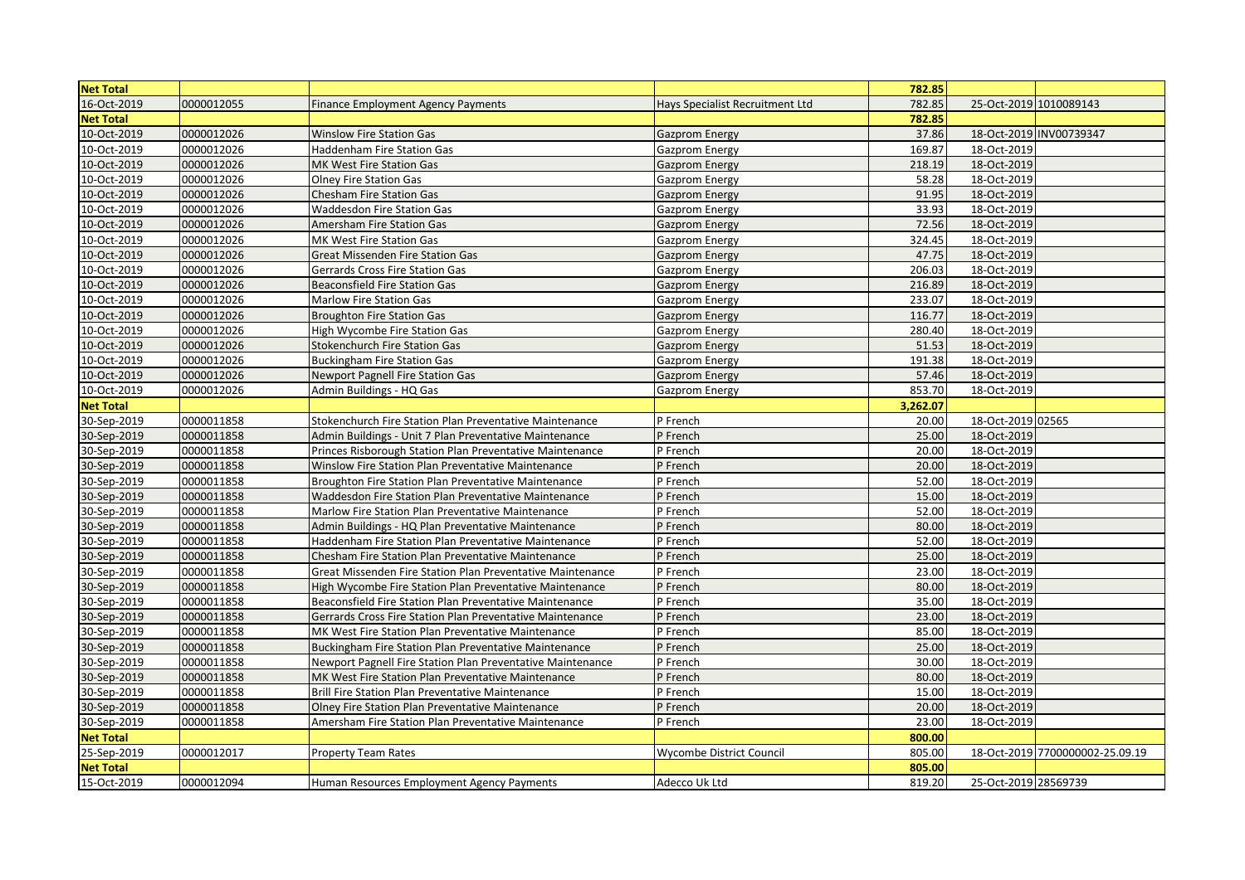| <b>Net Total</b> |            |                                                             |                                 | 782.85   |                      |                                 |
|------------------|------------|-------------------------------------------------------------|---------------------------------|----------|----------------------|---------------------------------|
| 16-Oct-2019      | 0000012055 | <b>Finance Employment Agency Payments</b>                   | Hays Specialist Recruitment Ltd | 782.85   |                      | 25-Oct-2019 1010089143          |
| <b>Net Total</b> |            |                                                             |                                 | 782.85   |                      |                                 |
| 10-Oct-2019      | 0000012026 | <b>Winslow Fire Station Gas</b>                             | <b>Gazprom Energy</b>           | 37.86    |                      | 18-Oct-2019 INV00739347         |
| 10-Oct-2019      | 0000012026 | <b>Haddenham Fire Station Gas</b>                           | Gazprom Energy                  | 169.87   | 18-Oct-2019          |                                 |
| 10-Oct-2019      | 0000012026 | MK West Fire Station Gas                                    | <b>Gazprom Energy</b>           | 218.19   | 18-Oct-2019          |                                 |
| 10-Oct-2019      | 0000012026 | <b>Olney Fire Station Gas</b>                               | Gazprom Energy                  | 58.28    | 18-Oct-2019          |                                 |
| 10-Oct-2019      | 0000012026 | <b>Chesham Fire Station Gas</b>                             | <b>Gazprom Energy</b>           | 91.95    | 18-Oct-2019          |                                 |
| 10-Oct-2019      | 0000012026 | Waddesdon Fire Station Gas                                  | Gazprom Energy                  | 33.93    | 18-Oct-2019          |                                 |
| 10-Oct-2019      | 0000012026 | Amersham Fire Station Gas                                   | <b>Gazprom Energy</b>           | 72.56    | 18-Oct-2019          |                                 |
| 10-Oct-2019      | 0000012026 | MK West Fire Station Gas                                    | Gazprom Energy                  | 324.45   | 18-Oct-2019          |                                 |
| 10-Oct-2019      | 0000012026 | <b>Great Missenden Fire Station Gas</b>                     | <b>Gazprom Energy</b>           | 47.75    | 18-Oct-2019          |                                 |
| 10-Oct-2019      | 0000012026 | Gerrards Cross Fire Station Gas                             | Gazprom Energy                  | 206.03   | 18-Oct-2019          |                                 |
| 10-Oct-2019      | 0000012026 | <b>Beaconsfield Fire Station Gas</b>                        | <b>Gazprom Energy</b>           | 216.89   | 18-Oct-2019          |                                 |
| 10-Oct-2019      | 0000012026 | Marlow Fire Station Gas                                     | <b>Gazprom Energy</b>           | 233.07   | 18-Oct-2019          |                                 |
| 10-Oct-2019      | 0000012026 | <b>Broughton Fire Station Gas</b>                           | <b>Gazprom Energy</b>           | 116.77   | 18-Oct-2019          |                                 |
| 10-Oct-2019      | 0000012026 | High Wycombe Fire Station Gas                               | Gazprom Energy                  | 280.40   | 18-Oct-2019          |                                 |
| 10-Oct-2019      | 0000012026 | <b>Stokenchurch Fire Station Gas</b>                        | <b>Gazprom Energy</b>           | 51.53    | 18-Oct-2019          |                                 |
| 10-Oct-2019      | 0000012026 | <b>Buckingham Fire Station Gas</b>                          | <b>Gazprom Energy</b>           | 191.38   | 18-Oct-2019          |                                 |
| 10-Oct-2019      | 0000012026 | <b>Newport Pagnell Fire Station Gas</b>                     | <b>Gazprom Energy</b>           | 57.46    | 18-Oct-2019          |                                 |
| 10-Oct-2019      | 0000012026 | Admin Buildings - HQ Gas                                    | <b>Gazprom Energy</b>           | 853.70   | 18-Oct-2019          |                                 |
| <b>Net Total</b> |            |                                                             |                                 | 3,262.07 |                      |                                 |
| 30-Sep-2019      | 0000011858 | Stokenchurch Fire Station Plan Preventative Maintenance     | P French                        | 20.00    | 18-Oct-2019 02565    |                                 |
| 30-Sep-2019      | 0000011858 | Admin Buildings - Unit 7 Plan Preventative Maintenance      | P French                        | 25.00    | 18-Oct-2019          |                                 |
| 30-Sep-2019      | 0000011858 | Princes Risborough Station Plan Preventative Maintenance    | P French                        | 20.00    | 18-Oct-2019          |                                 |
| 30-Sep-2019      | 0000011858 | Winslow Fire Station Plan Preventative Maintenance          | P French                        | 20.00    | 18-Oct-2019          |                                 |
| 30-Sep-2019      | 0000011858 | <b>Broughton Fire Station Plan Preventative Maintenance</b> | P French                        | 52.00    | 18-Oct-2019          |                                 |
| 30-Sep-2019      | 0000011858 | Waddesdon Fire Station Plan Preventative Maintenance        | P French                        | 15.00    | 18-Oct-2019          |                                 |
| 30-Sep-2019      | 0000011858 | Marlow Fire Station Plan Preventative Maintenance           | P French                        | 52.00    | 18-Oct-2019          |                                 |
| 30-Sep-2019      | 0000011858 | Admin Buildings - HQ Plan Preventative Maintenance          | P French                        | 80.00    | 18-Oct-2019          |                                 |
| 30-Sep-2019      | 0000011858 | Haddenham Fire Station Plan Preventative Maintenance        | P French                        | 52.00    | 18-Oct-2019          |                                 |
| 30-Sep-2019      | 0000011858 | Chesham Fire Station Plan Preventative Maintenance          | P French                        | 25.00    | 18-Oct-2019          |                                 |
| 30-Sep-2019      | 0000011858 | Great Missenden Fire Station Plan Preventative Maintenance  | P French                        | 23.00    | 18-Oct-2019          |                                 |
| 30-Sep-2019      | 0000011858 | High Wycombe Fire Station Plan Preventative Maintenance     | P French                        | 80.00    | 18-Oct-2019          |                                 |
| 30-Sep-2019      | 0000011858 | Beaconsfield Fire Station Plan Preventative Maintenance     | P French                        | 35.00    | 18-Oct-2019          |                                 |
| 30-Sep-2019      | 0000011858 | Gerrards Cross Fire Station Plan Preventative Maintenance   | P French                        | 23.00    | 18-Oct-2019          |                                 |
| 30-Sep-2019      | 0000011858 | MK West Fire Station Plan Preventative Maintenance          | P French                        | 85.00    | 18-Oct-2019          |                                 |
| 30-Sep-2019      | 0000011858 | Buckingham Fire Station Plan Preventative Maintenance       | P French                        | 25.00    | 18-Oct-2019          |                                 |
| 30-Sep-2019      | 0000011858 | Newport Pagnell Fire Station Plan Preventative Maintenance  | P French                        | 30.00    | 18-Oct-2019          |                                 |
| 30-Sep-2019      | 0000011858 | MK West Fire Station Plan Preventative Maintenance          | P French                        | 80.00    | 18-Oct-2019          |                                 |
| 30-Sep-2019      | 0000011858 | Brill Fire Station Plan Preventative Maintenance            | P French                        | 15.00    | 18-Oct-2019          |                                 |
| 30-Sep-2019      | 0000011858 | Olney Fire Station Plan Preventative Maintenance            | P French                        | 20.00    | 18-Oct-2019          |                                 |
| 30-Sep-2019      | 0000011858 | Amersham Fire Station Plan Preventative Maintenance         | P French                        | 23.00    | 18-Oct-2019          |                                 |
| <b>Net Total</b> |            |                                                             |                                 | 800.00   |                      |                                 |
| 25-Sep-2019      | 0000012017 | <b>Property Team Rates</b>                                  | Wycombe District Council        | 805.00   |                      | 18-Oct-2019 7700000002-25.09.19 |
| <b>Net Total</b> |            |                                                             |                                 | 805.00   |                      |                                 |
| 15-Oct-2019      | 0000012094 | Human Resources Employment Agency Payments                  | Adecco Uk Ltd                   | 819.20   | 25-Oct-2019 28569739 |                                 |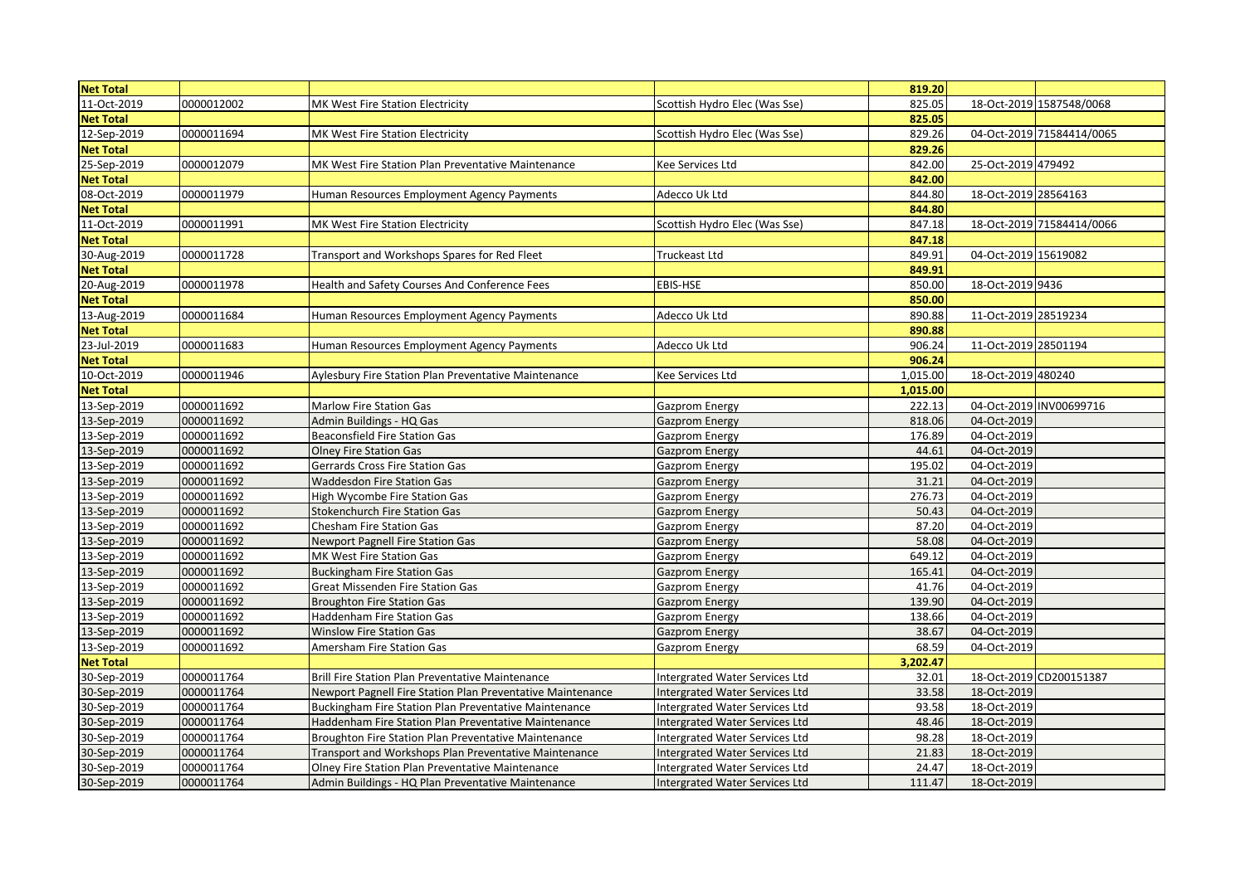| <b>Net Total</b> |            |                                                            |                                       | 819.20   |                      |                           |
|------------------|------------|------------------------------------------------------------|---------------------------------------|----------|----------------------|---------------------------|
| 11-Oct-2019      | 0000012002 | MK West Fire Station Electricity                           | Scottish Hydro Elec (Was Sse)         | 825.05   |                      | 18-Oct-2019 1587548/0068  |
| <b>Net Total</b> |            |                                                            |                                       | 825.05   |                      |                           |
| 12-Sep-2019      | 0000011694 | MK West Fire Station Electricity                           | Scottish Hydro Elec (Was Sse)         | 829.26   |                      | 04-Oct-2019 71584414/0065 |
| <b>Net Total</b> |            |                                                            |                                       | 829.26   |                      |                           |
| 25-Sep-2019      | 0000012079 | MK West Fire Station Plan Preventative Maintenance         | Kee Services Ltd                      | 842.00   | 25-Oct-2019 479492   |                           |
| <b>Net Total</b> |            |                                                            |                                       | 842.00   |                      |                           |
| 08-Oct-2019      | 0000011979 | Human Resources Employment Agency Payments                 | Adecco Uk Ltd                         | 844.80   | 18-Oct-2019 28564163 |                           |
| <b>Net Total</b> |            |                                                            |                                       | 844.80   |                      |                           |
| 11-Oct-2019      | 0000011991 | MK West Fire Station Electricity                           | Scottish Hydro Elec (Was Sse)         | 847.18   |                      | 18-Oct-2019 71584414/0066 |
| <b>Net Total</b> |            |                                                            |                                       | 847.18   |                      |                           |
| 30-Aug-2019      | 0000011728 | Transport and Workshops Spares for Red Fleet               | Truckeast Ltd                         | 849.91   | 04-Oct-2019 15619082 |                           |
| <b>Net Total</b> |            |                                                            |                                       | 849.91   |                      |                           |
| 20-Aug-2019      | 0000011978 | Health and Safety Courses And Conference Fees              | EBIS-HSE                              | 850.00   | 18-Oct-2019 9436     |                           |
| <b>Net Total</b> |            |                                                            |                                       | 850.00   |                      |                           |
| 13-Aug-2019      | 0000011684 | Human Resources Employment Agency Payments                 | Adecco Uk Ltd                         | 890.88   | 11-Oct-2019 28519234 |                           |
| <b>Net Total</b> |            |                                                            |                                       | 890.88   |                      |                           |
| 23-Jul-2019      | 0000011683 | Human Resources Employment Agency Payments                 | Adecco Uk Ltd                         | 906.24   | 11-Oct-2019 28501194 |                           |
| <b>Net Total</b> |            |                                                            |                                       | 906.24   |                      |                           |
| 10-Oct-2019      | 0000011946 | Aylesbury Fire Station Plan Preventative Maintenance       | Kee Services Ltd                      | 1,015.00 | 18-Oct-2019 480240   |                           |
| <b>Net Total</b> |            |                                                            |                                       | 1,015.00 |                      |                           |
| 13-Sep-2019      | 0000011692 | <b>Marlow Fire Station Gas</b>                             | Gazprom Energy                        | 222.13   |                      | 04-Oct-2019 INV00699716   |
| 13-Sep-2019      | 0000011692 | Admin Buildings - HQ Gas                                   | Gazprom Energy                        | 818.06   | 04-Oct-2019          |                           |
| 13-Sep-2019      | 0000011692 | Beaconsfield Fire Station Gas                              | <b>Gazprom Energy</b>                 | 176.89   | 04-Oct-2019          |                           |
| 13-Sep-2019      | 0000011692 | <b>Olney Fire Station Gas</b>                              | <b>Gazprom Energy</b>                 | 44.61    | 04-Oct-2019          |                           |
| 13-Sep-2019      | 0000011692 | Gerrards Cross Fire Station Gas                            | Gazprom Energy                        | 195.02   | 04-Oct-2019          |                           |
| 13-Sep-2019      | 0000011692 | <b>Waddesdon Fire Station Gas</b>                          | <b>Gazprom Energy</b>                 | 31.21    | 04-Oct-2019          |                           |
| 13-Sep-2019      | 0000011692 | High Wycombe Fire Station Gas                              | <b>Gazprom Energy</b>                 | 276.73   | 04-Oct-2019          |                           |
| 13-Sep-2019      | 0000011692 | <b>Stokenchurch Fire Station Gas</b>                       | Gazprom Energy                        | 50.43    | 04-Oct-2019          |                           |
| 13-Sep-2019      | 0000011692 | Chesham Fire Station Gas                                   | Gazprom Energy                        | 87.20    | 04-Oct-2019          |                           |
| 13-Sep-2019      | 0000011692 | <b>Newport Pagnell Fire Station Gas</b>                    | <b>Gazprom Energy</b>                 | 58.08    | 04-Oct-2019          |                           |
| 13-Sep-2019      | 0000011692 | MK West Fire Station Gas                                   | <b>Gazprom Energy</b>                 | 649.12   | 04-Oct-2019          |                           |
| 13-Sep-2019      | 0000011692 | <b>Buckingham Fire Station Gas</b>                         | <b>Gazprom Energy</b>                 | 165.41   | 04-Oct-2019          |                           |
| 13-Sep-2019      | 0000011692 | Great Missenden Fire Station Gas                           | <b>Gazprom Energy</b>                 | 41.76    | 04-Oct-2019          |                           |
| 13-Sep-2019      | 0000011692 | <b>Broughton Fire Station Gas</b>                          | Gazprom Energy                        | 139.90   | 04-Oct-2019          |                           |
| 13-Sep-2019      | 0000011692 | Haddenham Fire Station Gas                                 | <b>Gazprom Energy</b>                 | 138.66   | 04-Oct-2019          |                           |
| 13-Sep-2019      | 0000011692 | <b>Winslow Fire Station Gas</b>                            | <b>Gazprom Energy</b>                 | 38.67    | 04-Oct-2019          |                           |
| 13-Sep-2019      | 0000011692 | Amersham Fire Station Gas                                  | <b>Gazprom Energy</b>                 | 68.59    | 04-Oct-2019          |                           |
| <b>Net Total</b> |            |                                                            |                                       | 3,202.47 |                      |                           |
| 30-Sep-2019      | 0000011764 | Brill Fire Station Plan Preventative Maintenance           | Intergrated Water Services Ltd        | 32.01    |                      | 18-Oct-2019 CD200151387   |
| 30-Sep-2019      | 0000011764 | Newport Pagnell Fire Station Plan Preventative Maintenance | Intergrated Water Services Ltd        | 33.58    | 18-Oct-2019          |                           |
| 30-Sep-2019      | 0000011764 | Buckingham Fire Station Plan Preventative Maintenance      | Intergrated Water Services Ltd        | 93.58    | 18-Oct-2019          |                           |
| 30-Sep-2019      | 0000011764 | Haddenham Fire Station Plan Preventative Maintenance       | <b>Intergrated Water Services Ltd</b> | 48.46    | 18-Oct-2019          |                           |
| 30-Sep-2019      | 0000011764 | Broughton Fire Station Plan Preventative Maintenance       | Intergrated Water Services Ltd        | 98.28    | 18-Oct-2019          |                           |
| 30-Sep-2019      | 0000011764 | Transport and Workshops Plan Preventative Maintenance      | <b>Intergrated Water Services Ltd</b> | 21.83    | 18-Oct-2019          |                           |
| 30-Sep-2019      | 0000011764 | <b>Olney Fire Station Plan Preventative Maintenance</b>    | <b>Intergrated Water Services Ltd</b> | 24.47    | 18-Oct-2019          |                           |
| 30-Sep-2019      | 0000011764 | Admin Buildings - HQ Plan Preventative Maintenance         | <b>Intergrated Water Services Ltd</b> | 111.47   | 18-Oct-2019          |                           |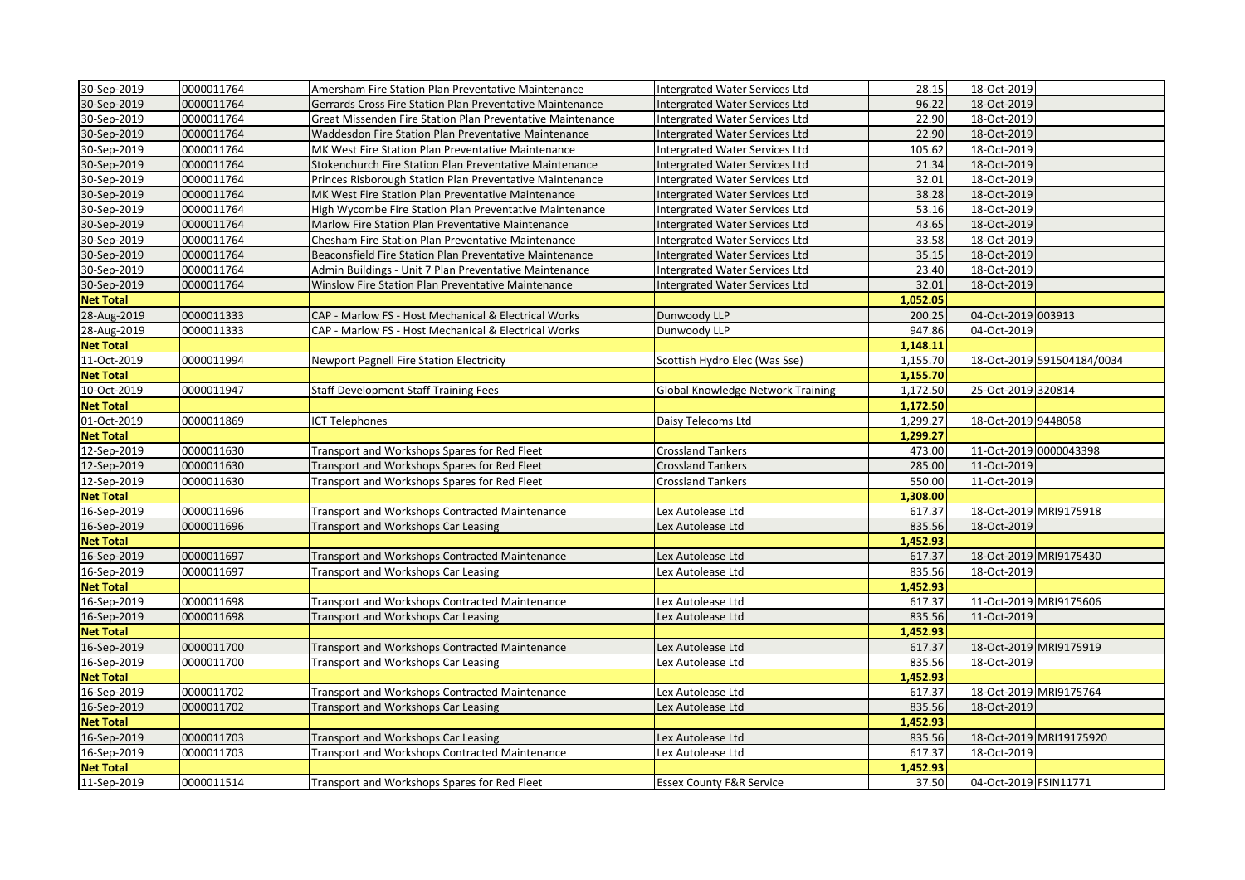| 30-Sep-2019      | 0000011764 | Amersham Fire Station Plan Preventative Maintenance        | Intergrated Water Services Ltd           | 28.15    | 18-Oct-2019           |                            |
|------------------|------------|------------------------------------------------------------|------------------------------------------|----------|-----------------------|----------------------------|
| 30-Sep-2019      | 0000011764 | Gerrards Cross Fire Station Plan Preventative Maintenance  | Intergrated Water Services Ltd           | 96.22    | 18-Oct-2019           |                            |
| 30-Sep-2019      | 0000011764 | Great Missenden Fire Station Plan Preventative Maintenance | Intergrated Water Services Ltd           | 22.90    | 18-Oct-2019           |                            |
| 30-Sep-2019      | 0000011764 | Waddesdon Fire Station Plan Preventative Maintenance       | Intergrated Water Services Ltd           | 22.90    | 18-Oct-2019           |                            |
| 30-Sep-2019      | 0000011764 | MK West Fire Station Plan Preventative Maintenance         | Intergrated Water Services Ltd           | 105.62   | 18-Oct-2019           |                            |
| 30-Sep-2019      | 0000011764 | Stokenchurch Fire Station Plan Preventative Maintenance    | Intergrated Water Services Ltd           | 21.34    | 18-Oct-2019           |                            |
| 30-Sep-2019      | 0000011764 | Princes Risborough Station Plan Preventative Maintenance   | Intergrated Water Services Ltd           | 32.01    | 18-Oct-2019           |                            |
| 30-Sep-2019      | 0000011764 | MK West Fire Station Plan Preventative Maintenance         | Intergrated Water Services Ltd           | 38.28    | 18-Oct-2019           |                            |
| 30-Sep-2019      | 0000011764 | High Wycombe Fire Station Plan Preventative Maintenance    | Intergrated Water Services Ltd           | 53.16    | 18-Oct-2019           |                            |
| 30-Sep-2019      | 0000011764 | Marlow Fire Station Plan Preventative Maintenance          | Intergrated Water Services Ltd           | 43.65    | 18-Oct-2019           |                            |
| 30-Sep-2019      | 0000011764 | Chesham Fire Station Plan Preventative Maintenance         | Intergrated Water Services Ltd           | 33.58    | 18-Oct-2019           |                            |
| 30-Sep-2019      | 0000011764 | Beaconsfield Fire Station Plan Preventative Maintenance    | Intergrated Water Services Ltd           | 35.15    | 18-Oct-2019           |                            |
| 30-Sep-2019      | 0000011764 | Admin Buildings - Unit 7 Plan Preventative Maintenance     | Intergrated Water Services Ltd           | 23.40    | 18-Oct-2019           |                            |
| 30-Sep-2019      | 0000011764 | Winslow Fire Station Plan Preventative Maintenance         | Intergrated Water Services Ltd           | 32.01    | 18-Oct-2019           |                            |
| <b>Net Total</b> |            |                                                            |                                          | 1,052.05 |                       |                            |
| 28-Aug-2019      | 0000011333 | CAP - Marlow FS - Host Mechanical & Electrical Works       | Dunwoody LLP                             | 200.25   | 04-Oct-2019 003913    |                            |
| 28-Aug-2019      | 0000011333 | CAP - Marlow FS - Host Mechanical & Electrical Works       | Dunwoody LLP                             | 947.86   | 04-Oct-2019           |                            |
| <b>Net Total</b> |            |                                                            |                                          | 1,148.11 |                       |                            |
| 11-Oct-2019      | 0000011994 | <b>Newport Pagnell Fire Station Electricity</b>            | Scottish Hydro Elec (Was Sse)            | 1,155.70 |                       | 18-Oct-2019 591504184/0034 |
| <b>Net Total</b> |            |                                                            |                                          | 1,155.70 |                       |                            |
| 10-Oct-2019      | 0000011947 | <b>Staff Development Staff Training Fees</b>               | <b>Global Knowledge Network Training</b> | 1,172.50 | 25-Oct-2019 320814    |                            |
| <b>Net Total</b> |            |                                                            |                                          | 1,172.50 |                       |                            |
| 01-Oct-2019      | 0000011869 | CT Telephones                                              | Daisy Telecoms Ltd                       | 1,299.27 | 18-Oct-2019 9448058   |                            |
| <b>Net Total</b> |            |                                                            |                                          | 1,299.27 |                       |                            |
| 12-Sep-2019      | 0000011630 | Transport and Workshops Spares for Red Fleet               | Crossland Tankers                        | 473.00   |                       | 11-Oct-2019 0000043398     |
| 12-Sep-2019      | 0000011630 | Transport and Workshops Spares for Red Fleet               | <b>Crossland Tankers</b>                 | 285.00   | 11-Oct-2019           |                            |
| 12-Sep-2019      | 0000011630 | Transport and Workshops Spares for Red Fleet               | <b>Crossland Tankers</b>                 | 550.00   | 11-Oct-2019           |                            |
| <b>Net Total</b> |            |                                                            |                                          | 1,308.00 |                       |                            |
| 16-Sep-2019      | 0000011696 | Transport and Workshops Contracted Maintenance             | Lex Autolease Ltd                        | 617.37   |                       | 18-Oct-2019 MRI9175918     |
| 16-Sep-2019      | 0000011696 | <b>Transport and Workshops Car Leasing</b>                 | Lex Autolease Ltd                        | 835.56   | 18-Oct-2019           |                            |
| <b>Net Total</b> |            |                                                            |                                          | 1,452.93 |                       |                            |
| 16-Sep-2019      | 0000011697 | Transport and Workshops Contracted Maintenance             | Lex Autolease Ltd                        | 617.37   |                       | 18-Oct-2019 MRI9175430     |
| 16-Sep-2019      | 0000011697 | Transport and Workshops Car Leasing                        | Lex Autolease Ltd                        | 835.56   | 18-Oct-2019           |                            |
| <b>Net Total</b> |            |                                                            |                                          | 1,452.93 |                       |                            |
| 16-Sep-2019      | 0000011698 | Transport and Workshops Contracted Maintenance             | Lex Autolease Ltd                        | 617.37   |                       | 11-Oct-2019 MRI9175606     |
| 16-Sep-2019      | 0000011698 | <b>Transport and Workshops Car Leasing</b>                 | Lex Autolease Ltd                        | 835.56   | 11-Oct-2019           |                            |
| <b>Net Total</b> |            |                                                            |                                          | 1,452.93 |                       |                            |
| 16-Sep-2019      | 0000011700 | <b>Transport and Workshops Contracted Maintenance</b>      | Lex Autolease Ltd                        | 617.37   |                       | 18-Oct-2019 MRI9175919     |
| 16-Sep-2019      | 0000011700 | Transport and Workshops Car Leasing                        | Lex Autolease Ltd                        | 835.56   | 18-Oct-2019           |                            |
| <b>Net Total</b> |            |                                                            |                                          | 1,452.93 |                       |                            |
| 16-Sep-2019      | 0000011702 | Transport and Workshops Contracted Maintenance             | Lex Autolease Ltd                        | 617.37   |                       | 18-Oct-2019 MRI9175764     |
| 16-Sep-2019      | 0000011702 | Transport and Workshops Car Leasing                        | Lex Autolease Ltd                        | 835.56   | 18-Oct-2019           |                            |
| <b>Net Total</b> |            |                                                            |                                          | 1,452.93 |                       |                            |
| 16-Sep-2019      | 0000011703 | Transport and Workshops Car Leasing                        | Lex Autolease Ltd                        | 835.56   |                       | 18-Oct-2019 MRI19175920    |
| 16-Sep-2019      | 0000011703 | Transport and Workshops Contracted Maintenance             | ex Autolease Ltd                         | 617.37   | 18-Oct-2019           |                            |
| <b>Net Total</b> |            |                                                            |                                          | 1,452.93 |                       |                            |
| 11-Sep-2019      | 0000011514 | Transport and Workshops Spares for Red Fleet               | <b>Essex County F&amp;R Service</b>      | 37.50    | 04-Oct-2019 FSIN11771 |                            |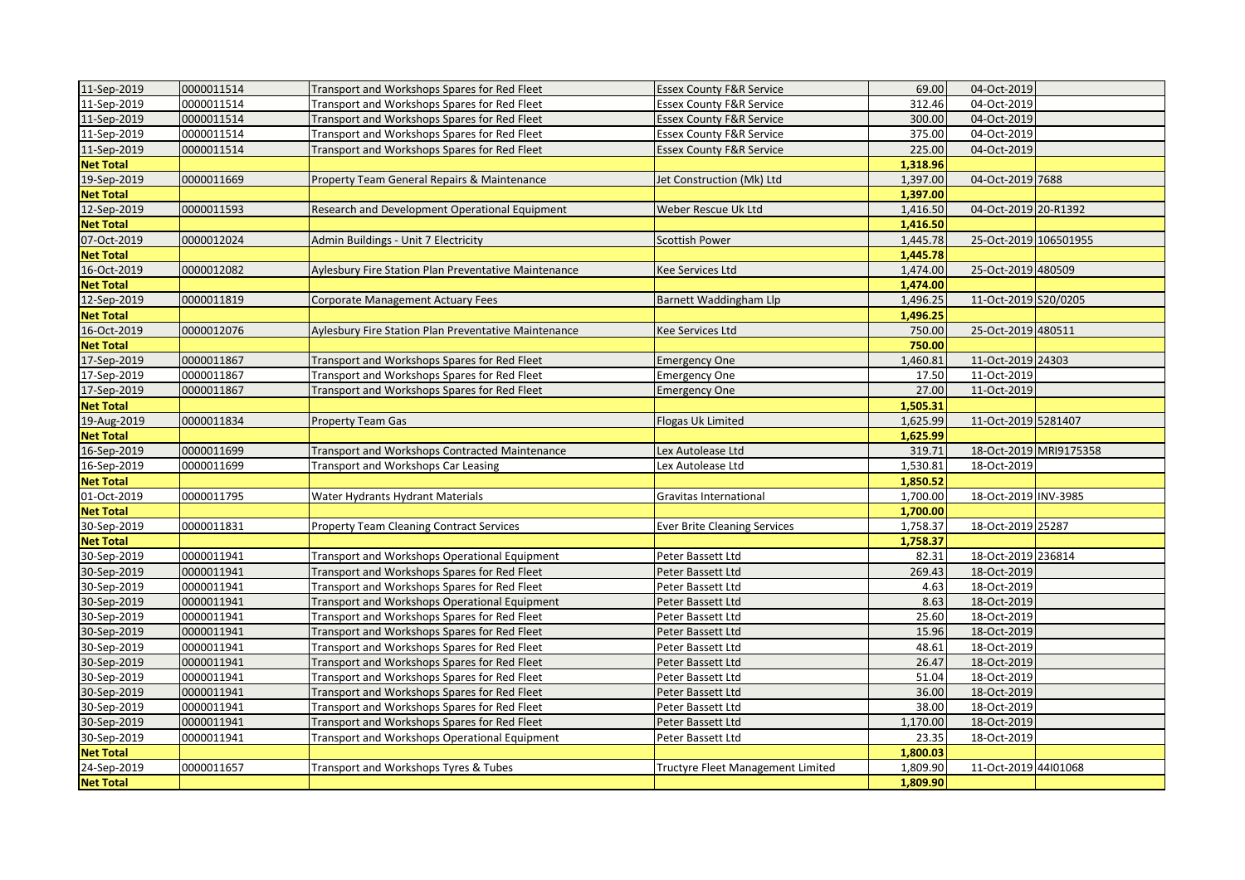| 11-Sep-2019      | 0000011514 | Transport and Workshops Spares for Red Fleet          | <b>Essex County F&amp;R Service</b> | 69.00    | 04-Oct-2019           |                        |
|------------------|------------|-------------------------------------------------------|-------------------------------------|----------|-----------------------|------------------------|
| 11-Sep-2019      | 0000011514 | Transport and Workshops Spares for Red Fleet          | <b>Essex County F&amp;R Service</b> | 312.46   | 04-Oct-2019           |                        |
| 11-Sep-2019      | 0000011514 | Transport and Workshops Spares for Red Fleet          | <b>Essex County F&amp;R Service</b> | 300.00   | 04-Oct-2019           |                        |
| 11-Sep-2019      | 0000011514 | Transport and Workshops Spares for Red Fleet          | <b>Essex County F&amp;R Service</b> | 375.00   | 04-Oct-2019           |                        |
| 11-Sep-2019      | 0000011514 | Transport and Workshops Spares for Red Fleet          | <b>Essex County F&amp;R Service</b> | 225.00   | 04-Oct-2019           |                        |
| <b>Net Total</b> |            |                                                       |                                     | 1,318.96 |                       |                        |
| 19-Sep-2019      | 0000011669 | Property Team General Repairs & Maintenance           | Jet Construction (Mk) Ltd           | 1,397.00 | 04-Oct-2019 7688      |                        |
| <b>Net Total</b> |            |                                                       |                                     | 1,397.00 |                       |                        |
| 12-Sep-2019      | 0000011593 | Research and Development Operational Equipment        | Weber Rescue Uk Ltd                 | 1,416.50 | 04-Oct-2019 20-R1392  |                        |
| <b>Net Total</b> |            |                                                       |                                     | 1,416.50 |                       |                        |
| 07-Oct-2019      | 0000012024 | Admin Buildings - Unit 7 Electricity                  | <b>Scottish Power</b>               | 1,445.78 | 25-Oct-2019 106501955 |                        |
| <b>Net Total</b> |            |                                                       |                                     | 1,445.78 |                       |                        |
| 16-Oct-2019      | 0000012082 | Aylesbury Fire Station Plan Preventative Maintenance  | Kee Services Ltd                    | 1,474.00 | 25-Oct-2019 480509    |                        |
| <b>Net Total</b> |            |                                                       |                                     | 1,474.00 |                       |                        |
| 12-Sep-2019      | 0000011819 | Corporate Management Actuary Fees                     | Barnett Waddingham Llp              | 1,496.25 | 11-Oct-2019 S20/0205  |                        |
| <b>Net Total</b> |            |                                                       |                                     | 1,496.25 |                       |                        |
| 16-Oct-2019      | 0000012076 | Aylesbury Fire Station Plan Preventative Maintenance  | <b>Kee Services Ltd</b>             | 750.00   | 25-Oct-2019 480511    |                        |
| <b>Net Total</b> |            |                                                       |                                     | 750.00   |                       |                        |
| 17-Sep-2019      | 0000011867 | Transport and Workshops Spares for Red Fleet          | <b>Emergency One</b>                | 1,460.81 | 11-Oct-2019 24303     |                        |
| 17-Sep-2019      | 0000011867 | Transport and Workshops Spares for Red Fleet          | <b>Emergency One</b>                | 17.50    | 11-Oct-2019           |                        |
| 17-Sep-2019      | 0000011867 | Transport and Workshops Spares for Red Fleet          | <b>Emergency One</b>                | 27.00    | 11-Oct-2019           |                        |
| <b>Net Total</b> |            |                                                       |                                     | 1,505.31 |                       |                        |
| 19-Aug-2019      | 0000011834 | <b>Property Team Gas</b>                              | Flogas Uk Limited                   | 1,625.99 | 11-Oct-2019 5281407   |                        |
| <b>Net Total</b> |            |                                                       |                                     | 1,625.99 |                       |                        |
| 16-Sep-2019      | 0000011699 | <b>Transport and Workshops Contracted Maintenance</b> | Lex Autolease Ltd                   | 319.71   |                       | 18-Oct-2019 MRI9175358 |
| 16-Sep-2019      | 0000011699 | <b>Transport and Workshops Car Leasing</b>            | Lex Autolease Ltd                   | 1,530.81 | 18-Oct-2019           |                        |
| <b>Net Total</b> |            |                                                       |                                     | 1,850.52 |                       |                        |
| 01-Oct-2019      | 0000011795 | Water Hydrants Hydrant Materials                      | Gravitas International              | 1,700.00 | 18-Oct-2019 INV-3985  |                        |
| <b>Net Total</b> |            |                                                       |                                     | 1,700.00 |                       |                        |
| 30-Sep-2019      | 0000011831 | <b>Property Team Cleaning Contract Services</b>       | <b>Ever Brite Cleaning Services</b> | 1,758.37 | 18-Oct-2019 25287     |                        |
| <b>Net Total</b> |            |                                                       |                                     | 1,758.37 |                       |                        |
| 30-Sep-2019      | 0000011941 | Transport and Workshops Operational Equipment         | Peter Bassett Ltd                   | 82.31    | 18-Oct-2019 236814    |                        |
| 30-Sep-2019      | 0000011941 | Transport and Workshops Spares for Red Fleet          | Peter Bassett Ltd                   | 269.43   | 18-Oct-2019           |                        |
| 30-Sep-2019      | 0000011941 | Transport and Workshops Spares for Red Fleet          | Peter Bassett Ltd                   | 4.63     | 18-Oct-2019           |                        |
| 30-Sep-2019      | 0000011941 | Transport and Workshops Operational Equipment         | Peter Bassett Ltd                   | 8.63     | 18-Oct-2019           |                        |
| 30-Sep-2019      | 0000011941 | Transport and Workshops Spares for Red Fleet          | Peter Bassett Ltd                   | 25.60    | 18-Oct-2019           |                        |
| 30-Sep-2019      | 0000011941 | Transport and Workshops Spares for Red Fleet          | Peter Bassett Ltd                   | 15.96    | 18-Oct-2019           |                        |
| 30-Sep-2019      | 0000011941 | Transport and Workshops Spares for Red Fleet          | Peter Bassett Ltd                   | 48.61    | 18-Oct-2019           |                        |
| 30-Sep-2019      | 0000011941 | Transport and Workshops Spares for Red Fleet          | Peter Bassett Ltd                   | 26.47    | 18-Oct-2019           |                        |
| 30-Sep-2019      | 0000011941 | Transport and Workshops Spares for Red Fleet          | Peter Bassett Ltd                   | 51.04    | 18-Oct-2019           |                        |
| 30-Sep-2019      | 0000011941 | Transport and Workshops Spares for Red Fleet          | Peter Bassett Ltd                   | 36.00    | 18-Oct-2019           |                        |
| 30-Sep-2019      | 0000011941 | Transport and Workshops Spares for Red Fleet          | Peter Bassett Ltd                   | 38.00    | 18-Oct-2019           |                        |
| 30-Sep-2019      | 0000011941 | Transport and Workshops Spares for Red Fleet          | Peter Bassett Ltd                   | 1,170.00 | 18-Oct-2019           |                        |
| 30-Sep-2019      | 0000011941 | <b>Transport and Workshops Operational Equipment</b>  | Peter Bassett Ltd                   | 23.35    | 18-Oct-2019           |                        |
| <b>Net Total</b> |            |                                                       |                                     | 1,800.03 |                       |                        |
| 24-Sep-2019      | 0000011657 | Transport and Workshops Tyres & Tubes                 | Tructyre Fleet Management Limited   | 1,809.90 | 11-Oct-2019 44l01068  |                        |
| <b>Net Total</b> |            |                                                       |                                     | 1,809.90 |                       |                        |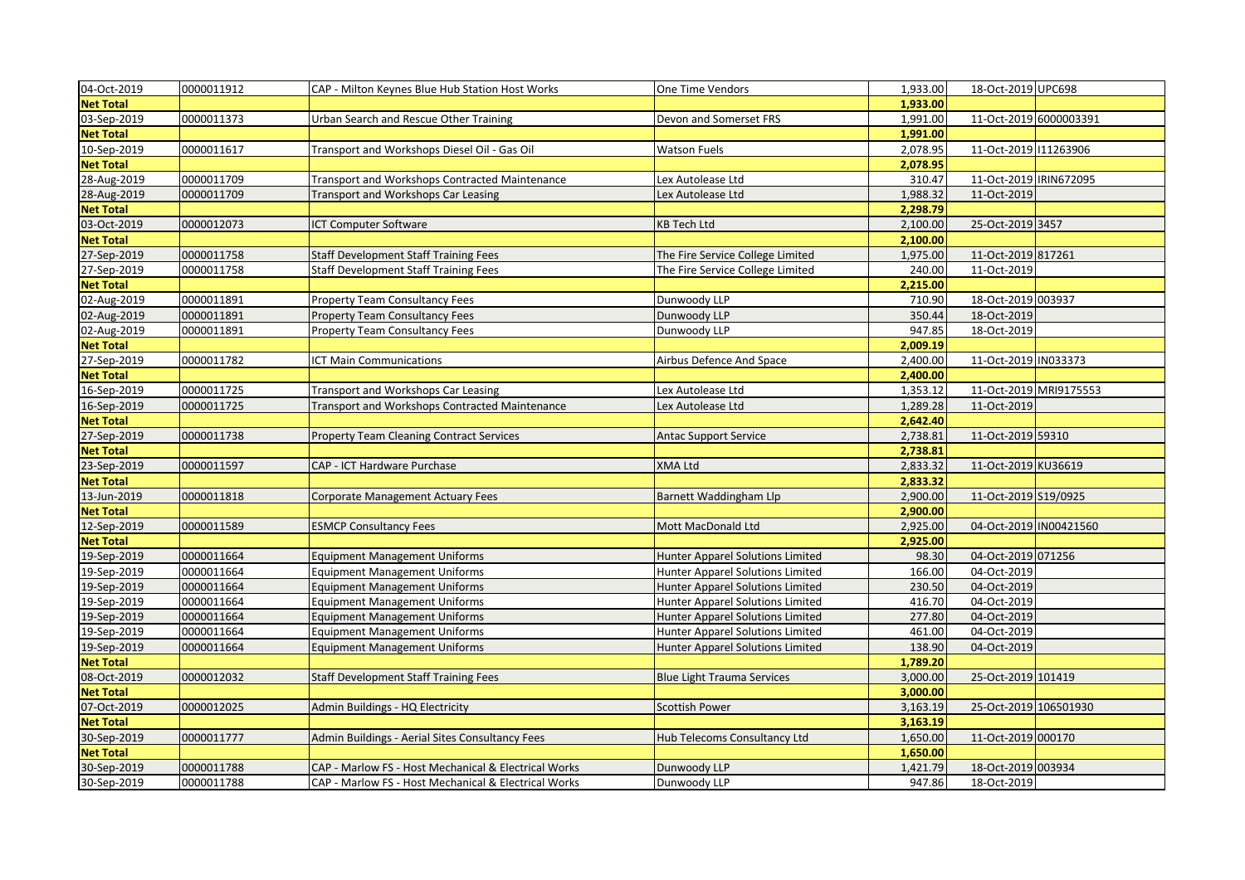| 04-Oct-2019      | 0000011912 | CAP - Milton Keynes Blue Hub Station Host Works      | One Time Vendors                        | 1,933.00 | 18-Oct-2019 UPC698     |                        |
|------------------|------------|------------------------------------------------------|-----------------------------------------|----------|------------------------|------------------------|
| <b>Net Total</b> |            |                                                      |                                         | 1,933.00 |                        |                        |
| 03-Sep-2019      | 0000011373 | Urban Search and Rescue Other Training               | Devon and Somerset FRS                  | 1,991.00 |                        | 11-Oct-2019 6000003391 |
| <b>Net Total</b> |            |                                                      |                                         | 1,991.00 |                        |                        |
| 10-Sep-2019      | 0000011617 | Transport and Workshops Diesel Oil - Gas Oil         | <b>Watson Fuels</b>                     | 2,078.95 | 11-Oct-2019 11263906   |                        |
| <b>Net Total</b> |            |                                                      |                                         | 2,078.95 |                        |                        |
| 28-Aug-2019      | 0000011709 | Transport and Workshops Contracted Maintenance       | Lex Autolease Ltd                       | 310.47   | 11-Oct-2019 IRIN672095 |                        |
| 28-Aug-2019      | 0000011709 | <b>Transport and Workshops Car Leasing</b>           | Lex Autolease Ltd                       | 1,988.32 | 11-Oct-2019            |                        |
| <b>Net Total</b> |            |                                                      |                                         | 2,298.79 |                        |                        |
| 03-Oct-2019      | 0000012073 | ICT Computer Software                                | <b>KB Tech Ltd</b>                      | 2,100.00 | 25-Oct-2019 3457       |                        |
| <b>Net Total</b> |            |                                                      |                                         | 2,100.00 |                        |                        |
| 27-Sep-2019      | 0000011758 | <b>Staff Development Staff Training Fees</b>         | The Fire Service College Limited        | 1,975.00 | 11-Oct-2019 817261     |                        |
| 27-Sep-2019      | 0000011758 | <b>Staff Development Staff Training Fees</b>         | The Fire Service College Limited        | 240.00   | 11-Oct-2019            |                        |
| <b>Net Total</b> |            |                                                      |                                         | 2,215.00 |                        |                        |
| 02-Aug-2019      | 0000011891 | <b>Property Team Consultancy Fees</b>                | Dunwoody LLP                            | 710.90   | 18-Oct-2019 003937     |                        |
| 02-Aug-2019      | 0000011891 | <b>Property Team Consultancy Fees</b>                | Dunwoody LLP                            | 350.44   | 18-Oct-2019            |                        |
| 02-Aug-2019      | 0000011891 | <b>Property Team Consultancy Fees</b>                | Dunwoody LLP                            | 947.85   | 18-Oct-2019            |                        |
| <b>Net Total</b> |            |                                                      |                                         | 2,009.19 |                        |                        |
| 27-Sep-2019      | 0000011782 | <b>ICT Main Communications</b>                       | Airbus Defence And Space                | 2,400.00 | 11-Oct-2019 IN033373   |                        |
| <b>Net Total</b> |            |                                                      |                                         | 2,400.00 |                        |                        |
| 16-Sep-2019      | 0000011725 | Transport and Workshops Car Leasing                  | Lex Autolease Ltd                       | 1,353.12 |                        | 11-Oct-2019 MRI9175553 |
| 16-Sep-2019      | 0000011725 | Transport and Workshops Contracted Maintenance       | Lex Autolease Ltd                       | 1,289.28 | 11-Oct-2019            |                        |
| <b>Net Total</b> |            |                                                      |                                         | 2,642.40 |                        |                        |
| 27-Sep-2019      | 0000011738 | <b>Property Team Cleaning Contract Services</b>      | <b>Antac Support Service</b>            | 2,738.81 | 11-Oct-2019 59310      |                        |
| <b>Net Total</b> |            |                                                      |                                         | 2,738.81 |                        |                        |
| 23-Sep-2019      | 0000011597 | CAP - ICT Hardware Purchase                          | <b>XMA Ltd</b>                          | 2,833.32 | 11-Oct-2019 KU36619    |                        |
| <b>Net Total</b> |            |                                                      |                                         | 2,833.32 |                        |                        |
| 13-Jun-2019      | 0000011818 | Corporate Management Actuary Fees                    | Barnett Waddingham Llp                  | 2,900.00 | 11-Oct-2019 S19/0925   |                        |
| <b>Net Total</b> |            |                                                      |                                         | 2,900.00 |                        |                        |
| 12-Sep-2019      | 0000011589 | <b>ESMCP Consultancy Fees</b>                        | Mott MacDonald Ltd                      | 2,925.00 | 04-Oct-2019 IN00421560 |                        |
| <b>Net Total</b> |            |                                                      |                                         | 2,925.00 |                        |                        |
| 19-Sep-2019      | 0000011664 | <b>Equipment Management Uniforms</b>                 | Hunter Apparel Solutions Limited        | 98.30    | 04-Oct-2019 071256     |                        |
| 19-Sep-2019      | 0000011664 | <b>Equipment Management Uniforms</b>                 | Hunter Apparel Solutions Limited        | 166.00   | 04-Oct-2019            |                        |
| 19-Sep-2019      | 0000011664 | <b>Equipment Management Uniforms</b>                 | Hunter Apparel Solutions Limited        | 230.50   | 04-Oct-2019            |                        |
| 19-Sep-2019      | 0000011664 | <b>Equipment Management Uniforms</b>                 | Hunter Apparel Solutions Limited        | 416.70   | 04-Oct-2019            |                        |
| 19-Sep-2019      | 0000011664 | <b>Equipment Management Uniforms</b>                 | Hunter Apparel Solutions Limited        | 277.80   | 04-Oct-2019            |                        |
| 19-Sep-2019      | 0000011664 | <b>Equipment Management Uniforms</b>                 | <b>Hunter Apparel Solutions Limited</b> | 461.00   | 04-Oct-2019            |                        |
| 19-Sep-2019      | 0000011664 | <b>Equipment Management Uniforms</b>                 | Hunter Apparel Solutions Limited        | 138.90   | 04-Oct-2019            |                        |
| <b>Net Total</b> |            |                                                      |                                         | 1,789.20 |                        |                        |
| 08-Oct-2019      | 0000012032 | <b>Staff Development Staff Training Fees</b>         | <b>Blue Light Trauma Services</b>       | 3,000.00 | 25-Oct-2019 101419     |                        |
| <b>Net Total</b> |            |                                                      |                                         | 3,000.00 |                        |                        |
| 07-Oct-2019      | 0000012025 | Admin Buildings - HQ Electricity                     | <b>Scottish Power</b>                   | 3,163.19 | 25-Oct-2019 106501930  |                        |
| <b>Net Total</b> |            |                                                      |                                         | 3,163.19 |                        |                        |
| 30-Sep-2019      | 0000011777 | Admin Buildings - Aerial Sites Consultancy Fees      | Hub Telecoms Consultancy Ltd            | 1,650.00 | 11-Oct-2019 000170     |                        |
| <b>Net Total</b> |            |                                                      |                                         | 1,650.00 |                        |                        |
| 30-Sep-2019      | 0000011788 | CAP - Marlow FS - Host Mechanical & Electrical Works | Dunwoody LLP                            | 1,421.79 | 18-Oct-2019 003934     |                        |
| 30-Sep-2019      | 0000011788 | CAP - Marlow FS - Host Mechanical & Electrical Works | Dunwoody LLP                            | 947.86   | 18-Oct-2019            |                        |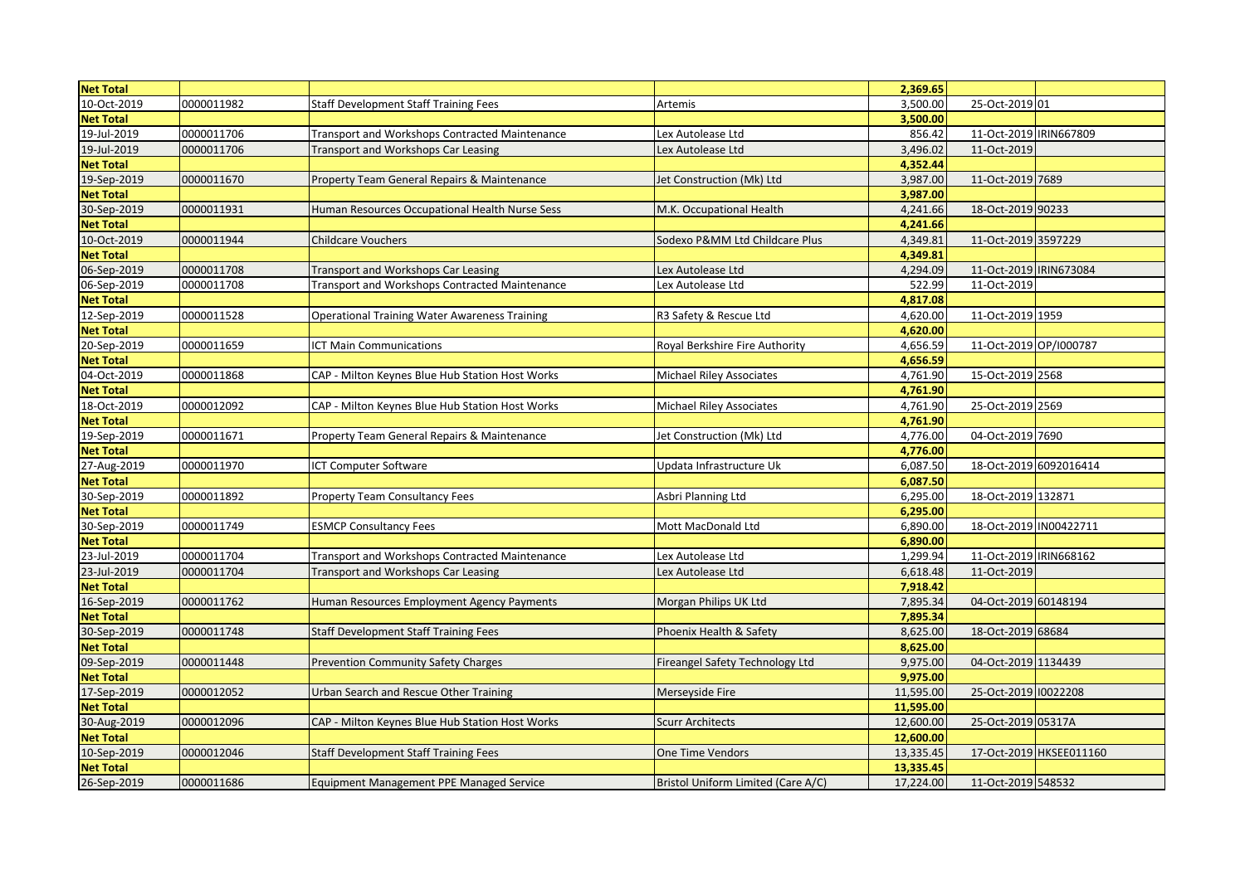| <b>Net Total</b> |            |                                                      |                                    | 2,369.65  |                        |                         |
|------------------|------------|------------------------------------------------------|------------------------------------|-----------|------------------------|-------------------------|
| 10-Oct-2019      | 0000011982 | <b>Staff Development Staff Training Fees</b>         | Artemis                            | 3,500.00  | 25-Oct-2019 01         |                         |
| <b>Net Total</b> |            |                                                      |                                    | 3,500.00  |                        |                         |
| 19-Jul-2019      | 0000011706 | Transport and Workshops Contracted Maintenance       | Lex Autolease Ltd                  | 856.42    | 11-Oct-2019 IRIN667809 |                         |
| 19-Jul-2019      | 0000011706 | Transport and Workshops Car Leasing                  | Lex Autolease Ltd                  | 3,496.02  | 11-Oct-2019            |                         |
| <b>Net Total</b> |            |                                                      |                                    | 4,352.44  |                        |                         |
| 19-Sep-2019      | 0000011670 | Property Team General Repairs & Maintenance          | Jet Construction (Mk) Ltd          | 3,987.00  | 11-Oct-2019 7689       |                         |
| <b>Net Total</b> |            |                                                      |                                    | 3,987.00  |                        |                         |
| 30-Sep-2019      | 0000011931 | Human Resources Occupational Health Nurse Sess       | M.K. Occupational Health           | 4,241.66  | 18-Oct-2019 90233      |                         |
| <b>Net Total</b> |            |                                                      |                                    | 4,241.66  |                        |                         |
| 10-Oct-2019      | 0000011944 | <b>Childcare Vouchers</b>                            | Sodexo P&MM Ltd Childcare Plus     | 4,349.81  | 11-Oct-2019 3597229    |                         |
| <b>Net Total</b> |            |                                                      |                                    | 4,349.81  |                        |                         |
| 06-Sep-2019      | 0000011708 | Transport and Workshops Car Leasing                  | Lex Autolease Ltd                  | 4,294.09  | 11-Oct-2019 IRIN673084 |                         |
| 06-Sep-2019      | 0000011708 | Transport and Workshops Contracted Maintenance       | Lex Autolease Ltd                  | 522.99    | 11-Oct-2019            |                         |
| <b>Net Total</b> |            |                                                      |                                    | 4,817.08  |                        |                         |
| 12-Sep-2019      | 0000011528 | <b>Operational Training Water Awareness Training</b> | R3 Safety & Rescue Ltd             | 4,620.00  | 11-Oct-2019 1959       |                         |
| <b>Net Total</b> |            |                                                      |                                    | 4,620.00  |                        |                         |
| 20-Sep-2019      | 0000011659 | <b>CT Main Communications</b>                        | Royal Berkshire Fire Authority     | 4,656.59  | 11-Oct-2019 OP/I000787 |                         |
| <b>Net Total</b> |            |                                                      |                                    | 4,656.59  |                        |                         |
| 04-Oct-2019      | 0000011868 | CAP - Milton Keynes Blue Hub Station Host Works      | Michael Riley Associates           | 4,761.90  | 15-Oct-2019 2568       |                         |
| <b>Net Total</b> |            |                                                      |                                    | 4,761.90  |                        |                         |
| 18-Oct-2019      | 0000012092 | CAP - Milton Keynes Blue Hub Station Host Works      | Michael Riley Associates           | 4,761.90  | 25-Oct-2019 2569       |                         |
| <b>Net Total</b> |            |                                                      |                                    | 4,761.90  |                        |                         |
| 19-Sep-2019      | 0000011671 | Property Team General Repairs & Maintenance          | Jet Construction (Mk) Ltd          | 4,776.00  | 04-Oct-2019 7690       |                         |
| <b>Net Total</b> |            |                                                      |                                    | 4,776.00  |                        |                         |
| 27-Aug-2019      | 0000011970 | ICT Computer Software                                | Updata Infrastructure Uk           | 6,087.50  | 18-Oct-2019 6092016414 |                         |
| <b>Net Total</b> |            |                                                      |                                    | 6,087.50  |                        |                         |
| 30-Sep-2019      | 0000011892 | <b>Property Team Consultancy Fees</b>                | Asbri Planning Ltd                 | 6,295.00  | 18-Oct-2019 132871     |                         |
| <b>Net Total</b> |            |                                                      |                                    | 6,295.00  |                        |                         |
| 30-Sep-2019      | 0000011749 | <b>ESMCP Consultancy Fees</b>                        | Mott MacDonald Ltd                 | 6,890.00  | 18-Oct-2019 IN00422711 |                         |
| <b>Net Total</b> |            |                                                      |                                    | 6,890.00  |                        |                         |
| 23-Jul-2019      | 0000011704 | Transport and Workshops Contracted Maintenance       | Lex Autolease Ltd                  | 1,299.94  | 11-Oct-2019 IRIN668162 |                         |
| 23-Jul-2019      | 0000011704 | Transport and Workshops Car Leasing                  | Lex Autolease Ltd                  | 6,618.48  | 11-Oct-2019            |                         |
| <b>Net Total</b> |            |                                                      |                                    | 7,918.42  |                        |                         |
| 16-Sep-2019      | 0000011762 | Human Resources Employment Agency Payments           | Morgan Philips UK Ltd              | 7,895.34  | 04-Oct-2019 60148194   |                         |
| <b>Net Total</b> |            |                                                      |                                    | 7,895.34  |                        |                         |
| 30-Sep-2019      | 0000011748 | <b>Staff Development Staff Training Fees</b>         | Phoenix Health & Safety            | 8,625.00  | 18-Oct-2019 68684      |                         |
| <b>Net Total</b> |            |                                                      |                                    | 8,625.00  |                        |                         |
| 09-Sep-2019      | 0000011448 | <b>Prevention Community Safety Charges</b>           | Fireangel Safety Technology Ltd    | 9,975.00  | 04-Oct-2019 1134439    |                         |
| <b>Net Total</b> |            |                                                      |                                    | 9,975.00  |                        |                         |
| 17-Sep-2019      | 0000012052 | Urban Search and Rescue Other Training               | Merseyside Fire                    | 11,595.00 | 25-Oct-2019 10022208   |                         |
| <b>Net Total</b> |            |                                                      |                                    | 11,595.00 |                        |                         |
| 30-Aug-2019      | 0000012096 | CAP - Milton Keynes Blue Hub Station Host Works      | <b>Scurr Architects</b>            | 12,600.00 | 25-Oct-2019 05317A     |                         |
| <b>Net Total</b> |            |                                                      |                                    | 12,600.00 |                        |                         |
| 10-Sep-2019      | 0000012046 | <b>Staff Development Staff Training Fees</b>         | One Time Vendors                   | 13,335.45 |                        | 17-Oct-2019 HKSEE011160 |
| <b>Net Total</b> |            |                                                      |                                    | 13,335.45 |                        |                         |
| 26-Sep-2019      | 0000011686 | <b>Equipment Management PPE Managed Service</b>      | Bristol Uniform Limited (Care A/C) | 17,224.00 | 11-Oct-2019 548532     |                         |